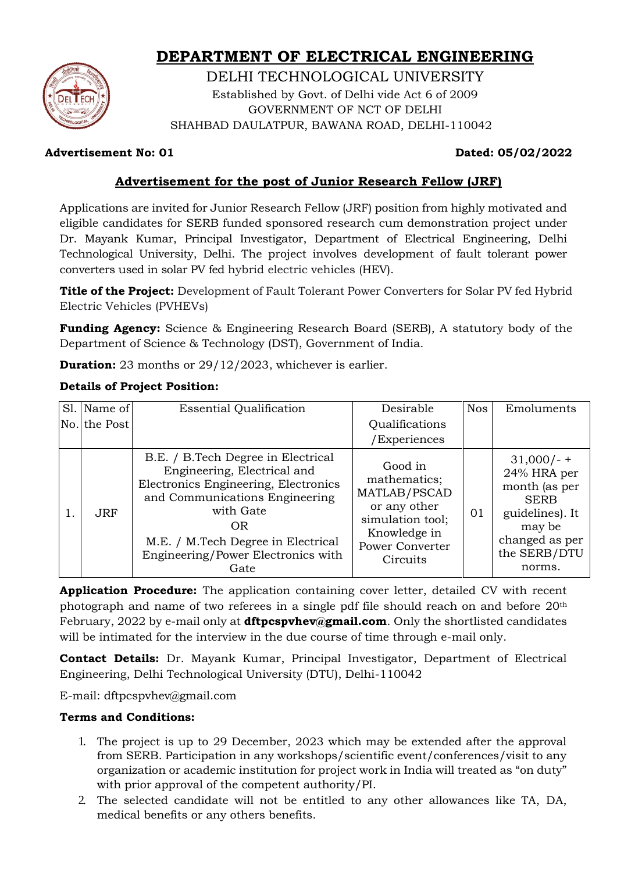# **DEPARTMENT OF ELECTRICAL ENGINEERING**



DELHI TECHNOLOGICAL UNIVERSITY Established by Govt. of Delhi vide Act 6 of 2009 GOVERNMENT OF NCT OF DELHI SHAHBAD DAULATPUR, BAWANA ROAD, DELHI-110042

# **Advertisement No: 01 Dated: 05/02/2022**

# **Advertisement for the post of Junior Research Fellow (JRF)**

Applications are invited for Junior Research Fellow (JRF) position from highly motivated and eligible candidates for SERB funded sponsored research cum demonstration project under Dr. Mayank Kumar, Principal Investigator, Department of Electrical Engineering, Delhi Technological University, Delhi. The project involves development of fault tolerant power converters used in solar PV fed hybrid electric vehicles (HEV).

**Title of the Project:** Development of Fault Tolerant Power Converters for Solar PV fed Hybrid Electric Vehicles (PVHEVs)

**Funding Agency:** Science & Engineering Research Board (SERB), A statutory body of the Department of Science & Technology (DST), Government of India.

**Duration:** 23 months or 29/12/2023, whichever is earlier.

# **Details of Project Position:**

|     | Sl. Name of | <b>Essential Qualification</b>                                                                                                                                                                                                                     | Desirable                                                                                                                         | <b>Nos</b> | Emoluments                                                                                                                         |
|-----|-------------|----------------------------------------------------------------------------------------------------------------------------------------------------------------------------------------------------------------------------------------------------|-----------------------------------------------------------------------------------------------------------------------------------|------------|------------------------------------------------------------------------------------------------------------------------------------|
| No. | the Post    |                                                                                                                                                                                                                                                    | Qualifications                                                                                                                    |            |                                                                                                                                    |
|     |             |                                                                                                                                                                                                                                                    | /Experiences                                                                                                                      |            |                                                                                                                                    |
|     | JRF.        | B.E. / B.Tech Degree in Electrical<br>Engineering, Electrical and<br>Electronics Engineering, Electronics<br>and Communications Engineering<br>with Gate<br>0R<br>M.E. / M.Tech Degree in Electrical<br>Engineering/Power Electronics with<br>Gate | Good in<br>mathematics;<br>MATLAB/PSCAD<br>or any other<br>simulation tool;<br>Knowledge in<br><b>Power Converter</b><br>Circuits | 01         | $31,000/-$<br>24% HRA per<br>month (as per<br><b>SERB</b><br>guidelines). It<br>may be<br>changed as per<br>the SERB/DTU<br>norms. |

**Application Procedure:** The application containing cover letter, detailed CV with recent photograph and name of two referees in a single pdf file should reach on and before 20th February, 2022 by e-mail only at **[dftpcspvhev@gmail.com](mailto:dftpcspvhev@gmail.com.)**. Only the shortlisted candidates will be intimated for the interview in the due course of time through e-mail only.

**Contact Details:** Dr. Mayank Kumar, Principal Investigator, Department of Electrical Engineering, Delhi Technological University (DTU), Delhi-110042

E-mail: dftpcspvhev@gmail.com

## **Terms and Conditions:**

- 1. The project is up to 29 December, 2023 which may be extended after the approval from SERB. Participation in any workshops/scientific event/conferences/visit to any organization or academic institution for project work in India will treated as "on duty" with prior approval of the competent authority/PI.
- 2. The selected candidate will not be entitled to any other allowances like TA, DA, medical benefits or any others benefits.